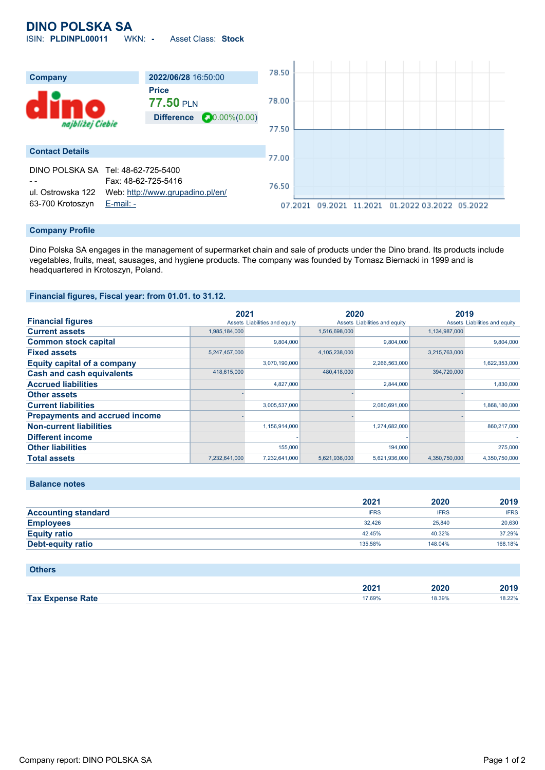# **DINO POLSKA SA**

ISIN: **PLDINPL00011** WKN: **-** Asset Class: **Stock**



### **Company Profile**

Dino Polska SA engages in the management of supermarket chain and sale of products under the Dino brand. Its products include vegetables, fruits, meat, sausages, and hygiene products. The company was founded by Tomasz Biernacki in 1999 and is headquartered in Krotoszyn, Poland.

### **Financial figures, Fiscal year: from 01.01. to 31.12.**

|                                       | 2021          |                               | 2020          |                               | 2019          |                               |
|---------------------------------------|---------------|-------------------------------|---------------|-------------------------------|---------------|-------------------------------|
| <b>Financial figures</b>              |               | Assets Liabilities and equity |               | Assets Liabilities and equity |               | Assets Liabilities and equity |
| <b>Current assets</b>                 | 1,985,184,000 |                               | 1,516,698,000 |                               | 1,134,987,000 |                               |
| <b>Common stock capital</b>           |               | 9.804.000                     |               | 9.804.000                     |               | 9.804.000                     |
| <b>Fixed assets</b>                   | 5,247,457,000 |                               | 4,105,238,000 |                               | 3,215,763,000 |                               |
| <b>Equity capital of a company</b>    |               | 3,070,190,000                 |               | 2,266,563,000                 |               | 1,622,353,000                 |
| <b>Cash and cash equivalents</b>      | 418,615,000   |                               | 480.418.000   |                               | 394,720,000   |                               |
| <b>Accrued liabilities</b>            |               | 4,827,000                     |               | 2,844,000                     |               | 1,830,000                     |
| <b>Other assets</b>                   |               |                               |               |                               |               |                               |
| <b>Current liabilities</b>            |               | 3,005,537,000                 |               | 2,080,691,000                 |               | 1,868,180,000                 |
| <b>Prepayments and accrued income</b> |               |                               |               |                               |               |                               |
| <b>Non-current liabilities</b>        |               | 1,156,914,000                 |               | 1,274,682,000                 |               | 860.217.000                   |
| <b>Different income</b>               |               |                               |               |                               |               |                               |
| <b>Other liabilities</b>              |               | 155,000                       |               | 194,000                       |               | 275,000                       |
| <b>Total assets</b>                   | 7,232,641,000 | 7,232,641,000                 | 5,621,936,000 | 5,621,936,000                 | 4,350,750,000 | 4,350,750,000                 |

### **Balance notes**

|                            | 2021        | 2020        | 2019        |
|----------------------------|-------------|-------------|-------------|
| <b>Accounting standard</b> | <b>IFRS</b> | <b>IFRS</b> | <b>IFRS</b> |
| <b>Employees</b>           | 32.426      | 25,840      | 20.630      |
| <b>Equity ratio</b>        | 42.45%      | 40.32%      | 37.29%      |
| <b>Debt-equity ratio</b>   | 135.58%     | 148.04%     | 168.18%     |

| <b>Others</b>           |        |        |        |
|-------------------------|--------|--------|--------|
|                         | 2021   | 2020   | 2019   |
| <b>Tax Expense Rate</b> | 17.69% | 18.39% | 18.22% |